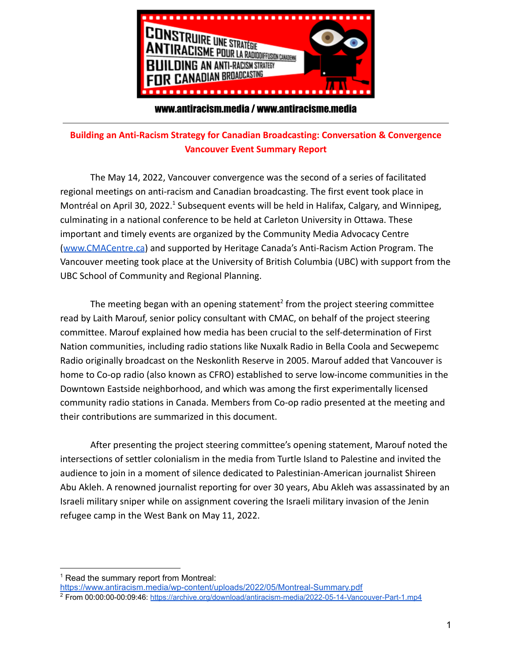

## www.antiracism.media / www.antiracisme.media

## **Building an Anti-Racism Strategy for Canadian Broadcasting: Conversation & Convergence Vancouver Event Summary Report**

The May 14, 2022, Vancouver convergence was the second of a series of facilitated regional meetings on anti-racism and Canadian broadcasting. The first event took place in Montréal on April 30, 2022.<sup>1</sup> Subsequent events will be held in Halifax, Calgary, and Winnipeg, culminating in a national conference to be held at Carleton University in Ottawa. These important and timely events are organized by the Community Media Advocacy Centre ([www.CMACentre.ca](http://www.cmacentre.ca)) and supported by Heritage Canada's Anti-Racism Action Program. The Vancouver meeting took place at the University of British Columbia (UBC) with support from the UBC School of Community and Regional Planning.

The meeting began with an opening statement<sup>2</sup> from the project steering committee read by Laith Marouf, senior policy consultant with CMAC, on behalf of the project steering committee. Marouf explained how media has been crucial to the self-determination of First Nation communities, including radio stations like Nuxalk Radio in Bella Coola and Secwepemc Radio originally broadcast on the Neskonlith Reserve in 2005. Marouf added that Vancouver is home to Co-op radio (also known as CFRO) established to serve low-income communities in the Downtown Eastside neighborhood, and which was among the first experimentally licensed community radio stations in Canada. Members from Co-op radio presented at the meeting and their contributions are summarized in this document.

After presenting the project steering committee's opening statement, Marouf noted the intersections of settler colonialism in the media from Turtle Island to Palestine and invited the audience to join in a moment of silence dedicated to Palestinian-American journalist Shireen Abu Akleh. A renowned journalist reporting for over 30 years, Abu Akleh was assassinated by an Israeli military sniper while on assignment covering the Israeli military invasion of the Jenin refugee camp in the West Bank on May 11, 2022.

<sup>&</sup>lt;sup>1</sup> Read the summary report from Montreal:

<https://www.antiracism.media/wp-content/uploads/2022/05/Montreal-Summary.pdf>

<sup>&</sup>lt;sup>2</sup> From 00:00:00-00:09:46: <https://archive.org/download/antiracism-media/2022-05-14-Vancouver-Part-1.mp4>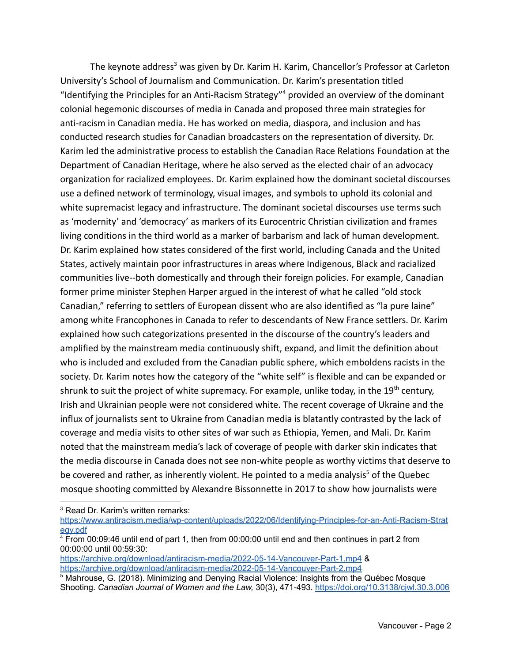The keynote address<sup>3</sup> was given by Dr. Karim H. Karim, Chancellor's Professor at Carleton University's School of Journalism and Communication. Dr. Karim's presentation titled "Identifying the Principles for an Anti-Racism Strategy" <sup>4</sup> provided an overview of the dominant colonial hegemonic discourses of media in Canada and proposed three main strategies for anti-racism in Canadian media. He has worked on media, diaspora, and inclusion and has conducted research studies for Canadian broadcasters on the representation of diversity. Dr. Karim led the administrative process to establish the Canadian Race Relations Foundation at the Department of Canadian Heritage, where he also served as the elected chair of an advocacy organization for racialized employees. Dr. Karim explained how the dominant societal discourses use a defined network of terminology, visual images, and symbols to uphold its colonial and white supremacist legacy and infrastructure. The dominant societal discourses use terms such as 'modernity' and 'democracy' as markers of its Eurocentric Christian civilization and frames living conditions in the third world as a marker of barbarism and lack of human development. Dr. Karim explained how states considered of the first world, including Canada and the United States, actively maintain poor infrastructures in areas where Indigenous, Black and racialized communities live--both domestically and through their foreign policies. For example, Canadian former prime minister Stephen Harper argued in the interest of what he called "old stock Canadian," referring to settlers of European dissent who are also identified as "la pure laine" among white Francophones in Canada to refer to descendants of New France settlers. Dr. Karim explained how such categorizations presented in the discourse of the country's leaders and amplified by the mainstream media continuously shift, expand, and limit the definition about who is included and excluded from the Canadian public sphere, which emboldens racists in the society. Dr. Karim notes how the category of the "white self" is flexible and can be expanded or shrunk to suit the project of white supremacy. For example, unlike today, in the 19<sup>th</sup> century, Irish and Ukrainian people were not considered white. The recent coverage of Ukraine and the influx of journalists sent to Ukraine from Canadian media is blatantly contrasted by the lack of coverage and media visits to other sites of war such as Ethiopia, Yemen, and Mali. Dr. Karim noted that the mainstream media's lack of coverage of people with darker skin indicates that the media discourse in Canada does not see non-white people as worthy victims that deserve to be covered and rather, as inherently violent. He pointed to a media analysis<sup>5</sup> of the Quebec mosque shooting committed by Alexandre Bissonnette in 2017 to show how journalists were

<sup>3</sup> Read Dr. Karim's written remarks:

[https://www.antiracism.media/wp-content/uploads/2022/06/Identifying-Principles-for-an-Anti-Racism-Strat](https://www.antiracism.media/wp-content/uploads/2022/06/Identifying-Principles-for-an-Anti-Racism-Strategy.pdf) [egy.pdf](https://www.antiracism.media/wp-content/uploads/2022/06/Identifying-Principles-for-an-Anti-Racism-Strategy.pdf)

<https://archive.org/download/antiracism-media/2022-05-14-Vancouver-Part-1.mp4> & <https://archive.org/download/antiracism-media/2022-05-14-Vancouver-Part-2.mp4>

<sup>4</sup> From 00:09:46 until end of part 1, then from 00:00:00 until end and then continues in part 2 from 00:00:00 until 00:59:30:

 $5$  Mahrouse, G. (2018). Minimizing and Denying Racial Violence: Insights from the Québec Mosque Shooting. *Canadian Journal of Women and the Law,* 30(3), 471-493. <https://doi.org/10.3138/cjwl.30.3.006>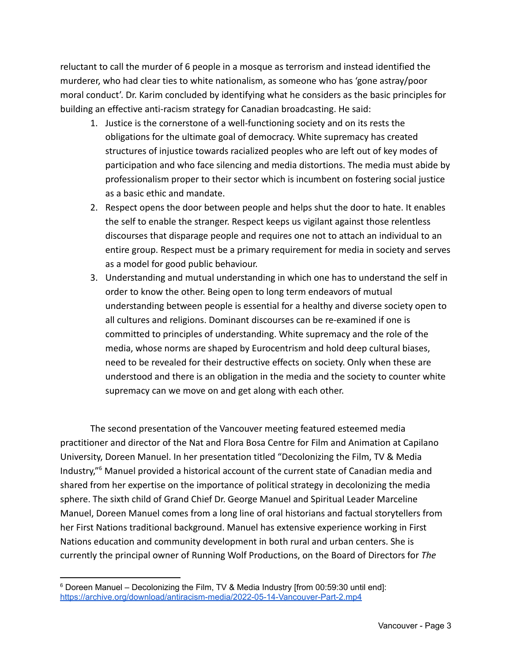reluctant to call the murder of 6 people in a mosque as terrorism and instead identified the murderer, who had clear ties to white nationalism, as someone who has 'gone astray/poor moral conduct'. Dr. Karim concluded by identifying what he considers as the basic principles for building an effective anti-racism strategy for Canadian broadcasting. He said:

- 1. Justice is the cornerstone of a well-functioning society and on its rests the obligations for the ultimate goal of democracy. White supremacy has created structures of injustice towards racialized peoples who are left out of key modes of participation and who face silencing and media distortions. The media must abide by professionalism proper to their sector which is incumbent on fostering social justice as a basic ethic and mandate.
- 2. Respect opens the door between people and helps shut the door to hate. It enables the self to enable the stranger. Respect keeps us vigilant against those relentless discourses that disparage people and requires one not to attach an individual to an entire group. Respect must be a primary requirement for media in society and serves as a model for good public behaviour.
- 3. Understanding and mutual understanding in which one has to understand the self in order to know the other. Being open to long term endeavors of mutual understanding between people is essential for a healthy and diverse society open to all cultures and religions. Dominant discourses can be re-examined if one is committed to principles of understanding. White supremacy and the role of the media, whose norms are shaped by Eurocentrism and hold deep cultural biases, need to be revealed for their destructive effects on society. Only when these are understood and there is an obligation in the media and the society to counter white supremacy can we move on and get along with each other.

The second presentation of the Vancouver meeting featured esteemed media practitioner and director of the Nat and Flora Bosa Centre for Film and Animation at Capilano University, Doreen Manuel. In her presentation titled "Decolonizing the Film, TV & Media Industry," <sup>6</sup> Manuel provided a historical account of the current state of Canadian media and shared from her expertise on the importance of political strategy in decolonizing the media sphere. The sixth child of Grand Chief Dr. George Manuel and Spiritual Leader Marceline Manuel, Doreen Manuel comes from a long line of oral historians and factual storytellers from her First Nations traditional background. Manuel has extensive experience working in First Nations education and community development in both rural and urban centers. She is currently the principal owner of Running Wolf Productions, on the Board of Directors for *The*

<sup>&</sup>lt;sup>6</sup> Doreen Manuel – Decolonizing the Film, TV & Media Industry [from 00:59:30 until end]: <https://archive.org/download/antiracism-media/2022-05-14-Vancouver-Part-2.mp4>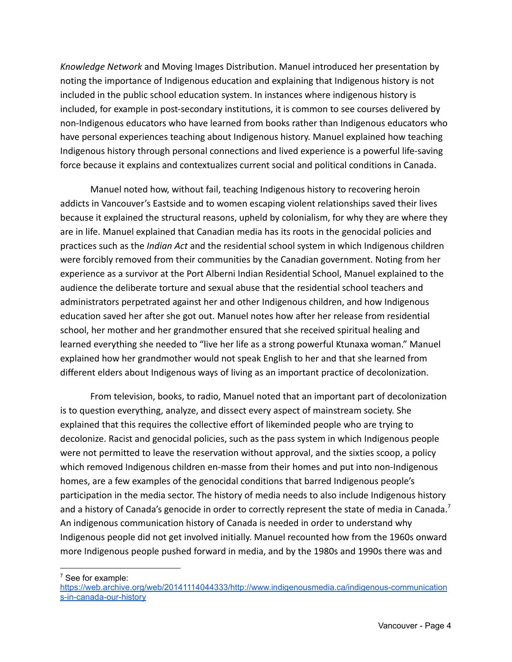*Knowledge Network* and Moving Images Distribution. Manuel introduced her presentation by noting the importance of Indigenous education and explaining that Indigenous history is not included in the public school education system. In instances where indigenous history is included, for example in post-secondary institutions, it is common to see courses delivered by non-Indigenous educators who have learned from books rather than Indigenous educators who have personal experiences teaching about Indigenous history. Manuel explained how teaching Indigenous history through personal connections and lived experience is a powerful life-saving force because it explains and contextualizes current social and political conditions in Canada.

Manuel noted how, without fail, teaching Indigenous history to recovering heroin addicts in Vancouver's Eastside and to women escaping violent relationships saved their lives because it explained the structural reasons, upheld by colonialism, for why they are where they are in life. Manuel explained that Canadian media has its roots in the genocidal policies and practices such as the *Indian Act* and the residential school system in which Indigenous children were forcibly removed from their communities by the Canadian government. Noting from her experience as a survivor at the Port Alberni Indian Residential School, Manuel explained to the audience the deliberate torture and sexual abuse that the residential school teachers and administrators perpetrated against her and other Indigenous children, and how Indigenous education saved her after she got out. Manuel notes how after her release from residential school, her mother and her grandmother ensured that she received spiritual healing and learned everything she needed to "live her life as a strong powerful Ktunaxa woman." Manuel explained how her grandmother would not speak English to her and that she learned from different elders about Indigenous ways of living as an important practice of decolonization.

From television, books, to radio, Manuel noted that an important part of decolonization is to question everything, analyze, and dissect every aspect of mainstream society. She explained that this requires the collective effort of likeminded people who are trying to decolonize. Racist and genocidal policies, such as the pass system in which Indigenous people were not permitted to leave the reservation without approval, and the sixties scoop, a policy which removed Indigenous children en-masse from their homes and put into non-Indigenous homes, are a few examples of the genocidal conditions that barred Indigenous people's participation in the media sector. The history of media needs to also include Indigenous history and a history of Canada's genocide in order to correctly represent the state of media in Canada.<sup>7</sup> An indigenous communication history of Canada is needed in order to understand why Indigenous people did not get involved initially. Manuel recounted how from the 1960s onward more Indigenous people pushed forward in media, and by the 1980s and 1990s there was and

 $7$  See for example:

[https://web.archive.org/web/20141114044333/http://www.indigenousmedia.ca/indigenous-communication](https://web.archive.org/web/20141114044333/http://www.indigenousmedia.ca/indigenous-communications-in-canada-our-history) [s-in-canada-our-history](https://web.archive.org/web/20141114044333/http://www.indigenousmedia.ca/indigenous-communications-in-canada-our-history)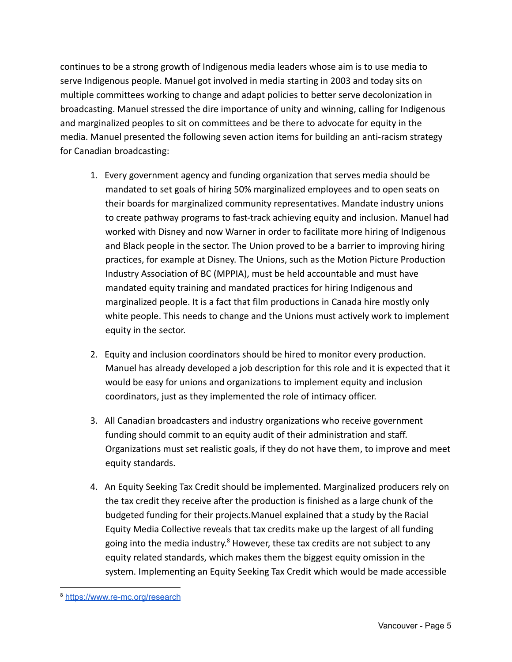continues to be a strong growth of Indigenous media leaders whose aim is to use media to serve Indigenous people. Manuel got involved in media starting in 2003 and today sits on multiple committees working to change and adapt policies to better serve decolonization in broadcasting. Manuel stressed the dire importance of unity and winning, calling for Indigenous and marginalized peoples to sit on committees and be there to advocate for equity in the media. Manuel presented the following seven action items for building an anti-racism strategy for Canadian broadcasting:

- 1. Every government agency and funding organization that serves media should be mandated to set goals of hiring 50% marginalized employees and to open seats on their boards for marginalized community representatives. Mandate industry unions to create pathway programs to fast-track achieving equity and inclusion. Manuel had worked with Disney and now Warner in order to facilitate more hiring of Indigenous and Black people in the sector. The Union proved to be a barrier to improving hiring practices, for example at Disney. The Unions, such as the Motion Picture Production Industry Association of BC (MPPIA), must be held accountable and must have mandated equity training and mandated practices for hiring Indigenous and marginalized people. It is a fact that film productions in Canada hire mostly only white people. This needs to change and the Unions must actively work to implement equity in the sector.
- 2. Equity and inclusion coordinators should be hired to monitor every production. Manuel has already developed a job description for this role and it is expected that it would be easy for unions and organizations to implement equity and inclusion coordinators, just as they implemented the role of intimacy officer.
- 3. All Canadian broadcasters and industry organizations who receive government funding should commit to an equity audit of their administration and staff. Organizations must set realistic goals, if they do not have them, to improve and meet equity standards.
- 4. An Equity Seeking Tax Credit should be implemented. Marginalized producers rely on the tax credit they receive after the production is finished as a large chunk of the budgeted funding for their projects.Manuel explained that a study by the Racial Equity Media Collective reveals that tax credits make up the largest of all funding going into the media industry.<sup>8</sup> However, these tax credits are not subject to any equity related standards, which makes them the biggest equity omission in the system. Implementing an Equity Seeking Tax Credit which would be made accessible

<sup>8</sup> <https://www.re-mc.org/research>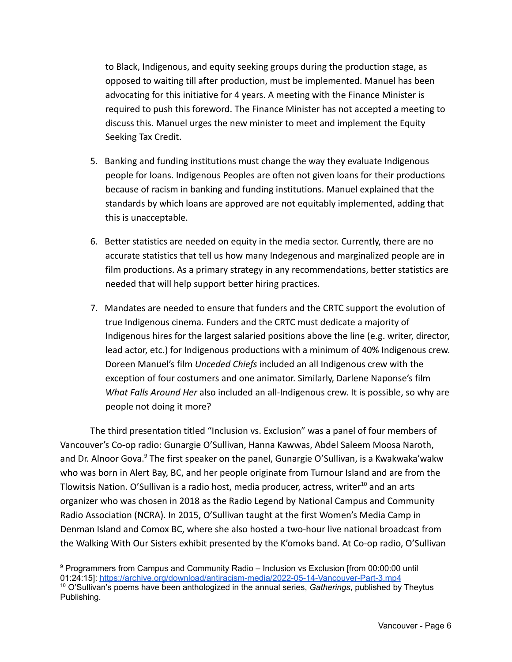to Black, Indigenous, and equity seeking groups during the production stage, as opposed to waiting till after production, must be implemented. Manuel has been advocating for this initiative for 4 years. A meeting with the Finance Minister is required to push this foreword. The Finance Minister has not accepted a meeting to discuss this. Manuel urges the new minister to meet and implement the Equity Seeking Tax Credit.

- 5. Banking and funding institutions must change the way they evaluate Indigenous people for loans. Indigenous Peoples are often not given loans for their productions because of racism in banking and funding institutions. Manuel explained that the standards by which loans are approved are not equitably implemented, adding that this is unacceptable.
- 6. Better statistics are needed on equity in the media sector. Currently, there are no accurate statistics that tell us how many Indegenous and marginalized people are in film productions. As a primary strategy in any recommendations, better statistics are needed that will help support better hiring practices.
- 7. Mandates are needed to ensure that funders and the CRTC support the evolution of true Indigenous cinema. Funders and the CRTC must dedicate a majority of Indigenous hires for the largest salaried positions above the line (e.g. writer, director, lead actor, etc.) for Indigenous productions with a minimum of 40% Indigenous crew. Doreen Manuel's film *Unceded Chiefs* included an all Indigenous crew with the exception of four costumers and one animator. Similarly, Darlene Naponse's film *What Falls Around Her* also included an all-Indigenous crew. It is possible, so why are people not doing it more?

The third presentation titled "Inclusion vs. Exclusion" was a panel of four members of Vancouver's Co-op radio: Gunargie O'Sullivan, Hanna Kawwas, Abdel Saleem Moosa Naroth, and Dr. Alnoor Gova.<sup>9</sup> The first speaker on the panel, Gunargie O'Sullivan, is a Kwakwaka'wakw who was born in Alert Bay, BC, and her people originate from Turnour Island and are from the Tlowitsis Nation. O'Sullivan is a radio host, media producer, actress, writer<sup>10</sup> and an arts organizer who was chosen in 2018 as the Radio Legend by National Campus and Community Radio Association (NCRA). In 2015, O'Sullivan taught at the first Women's Media Camp in Denman Island and Comox BC, where she also hosted a two-hour live national broadcast from the Walking With Our Sisters exhibit presented by the K'omoks band. At Co-op radio, O'Sullivan

<sup>9</sup> Programmers from Campus and Community Radio – Inclusion vs Exclusion [from 00:00:00 until 01:24:15]: <https://archive.org/download/antiracism-media/2022-05-14-Vancouver-Part-3.mp4>

<sup>10</sup> O'Sullivan's poems have been anthologized in the annual series, *Gatherings*, published by Theytus Publishing.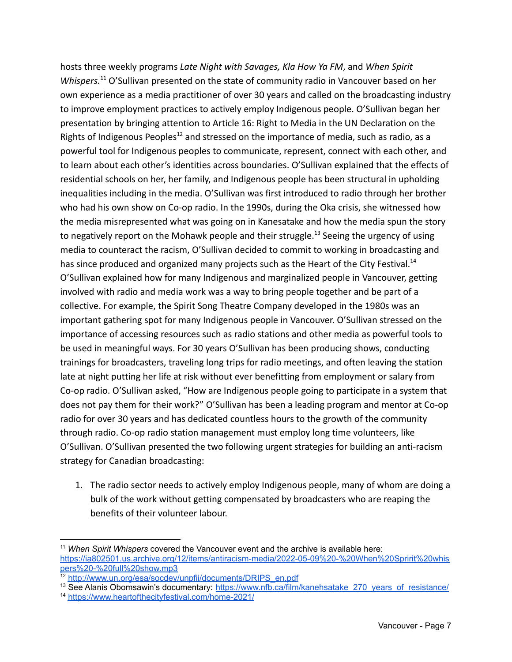hosts three weekly programs *Late Night with Savages, Kla How Ya FM*, and *When Spirit Whispers.*<sup>11</sup> O'Sullivan presented on the state of community radio in Vancouver based on her own experience as a media practitioner of over 30 years and called on the broadcasting industry to improve employment practices to actively employ Indigenous people. O'Sullivan began her presentation by bringing attention to Article 16: Right to Media in the UN Declaration on the Rights of Indigenous Peoples<sup>12</sup> and stressed on the importance of media, such as radio, as a powerful tool for Indigenous peoples to communicate, represent, connect with each other, and to learn about each other's identities across boundaries. O'Sullivan explained that the effects of residential schools on her, her family, and Indigenous people has been structural in upholding inequalities including in the media. O'Sullivan was first introduced to radio through her brother who had his own show on Co-op radio. In the 1990s, during the Oka crisis, she witnessed how the media misrepresented what was going on in Kanesatake and how the media spun the story to negatively report on the Mohawk people and their struggle.<sup>13</sup> Seeing the urgency of using media to counteract the racism, O'Sullivan decided to commit to working in broadcasting and has since produced and organized many projects such as the Heart of the City Festival.<sup>14</sup> O'Sullivan explained how for many Indigenous and marginalized people in Vancouver, getting involved with radio and media work was a way to bring people together and be part of a collective. For example, the Spirit Song Theatre Company developed in the 1980s was an important gathering spot for many Indigenous people in Vancouver. O'Sullivan stressed on the importance of accessing resources such as radio stations and other media as powerful tools to be used in meaningful ways. For 30 years O'Sullivan has been producing shows, conducting trainings for broadcasters, traveling long trips for radio meetings, and often leaving the station late at night putting her life at risk without ever benefitting from employment or salary from Co-op radio. O'Sullivan asked, "How are Indigenous people going to participate in a system that does not pay them for their work?" O'Sullivan has been a leading program and mentor at Co-op radio for over 30 years and has dedicated countless hours to the growth of the community through radio. Co-op radio station management must employ long time volunteers, like O'Sullivan. O'Sullivan presented the two following urgent strategies for building an anti-racism strategy for Canadian broadcasting:

1. The radio sector needs to actively employ Indigenous people, many of whom are doing a bulk of the work without getting compensated by broadcasters who are reaping the benefits of their volunteer labour.

<sup>11</sup> *When Spirit Whispers* covered the Vancouver event and the archive is available here[:](https://ia802501.us.archive.org/12/items/antiracism-media/2022-05-09%20-%20When%20Spririt%20whispers%20-%20full%20show.mp3) [https://ia802501.us.archive.org/12/items/antiracism-media/2022-05-09%20-%20When%20Spririt%20whis](https://ia802501.us.archive.org/12/items/antiracism-media/2022-05-09%20-%20When%20Spririt%20whispers%20-%20full%20show.mp3) [pers%20-%20full%20show.mp3](https://ia802501.us.archive.org/12/items/antiracism-media/2022-05-09%20-%20When%20Spririt%20whispers%20-%20full%20show.mp3)

<sup>12</sup> [http://www.un.org/esa/socdev/unpfii/documents/DRIPS\\_en.pdf](http://www.un.org/esa/socdev/unpfii/documents/DRIPS_en.pdf)

<sup>&</sup>lt;sup>13</sup> See Alanis Obomsawin's documentary: [https://www.nfb.ca/film/kanehsatake\\_270\\_years\\_of\\_resistance/](https://www.nfb.ca/film/kanehsatake_270_years_of_resistance/)

<sup>14</sup> <https://www.heartofthecityfestival.com/home-2021/>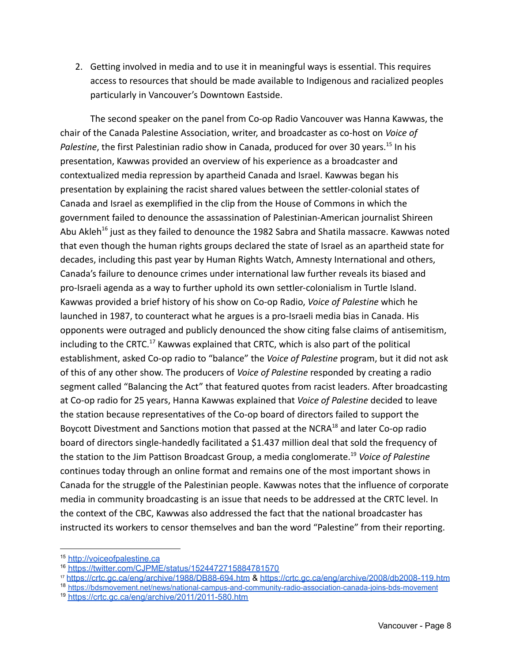2. Getting involved in media and to use it in meaningful ways is essential. This requires access to resources that should be made available to Indigenous and racialized peoples particularly in Vancouver's Downtown Eastside.

The second speaker on the panel from Co-op Radio Vancouver was Hanna Kawwas, the chair of the Canada Palestine Association, writer, and broadcaster as co-host on *Voice of* Palestine, the first Palestinian radio show in Canada, produced for over 30 years.<sup>15</sup> In his presentation, Kawwas provided an overview of his experience as a broadcaster and contextualized media repression by apartheid Canada and Israel. Kawwas began his presentation by explaining the racist shared values between the settler-colonial states of Canada and Israel as exemplified in the clip from the House of Commons in which the government failed to denounce the assassination of Palestinian-American journalist Shireen Abu Akleh<sup>16</sup> just as they failed to denounce the 1982 Sabra and Shatila massacre. Kawwas noted that even though the human rights groups declared the state of Israel as an apartheid state for decades, including this past year by Human Rights Watch, Amnesty International and others, Canada's failure to denounce crimes under international law further reveals its biased and pro-Israeli agenda as a way to further uphold its own settler-colonialism in Turtle Island. Kawwas provided a brief history of his show on Co-op Radio, *Voice of Palestine* which he launched in 1987, to counteract what he argues is a pro-Israeli media bias in Canada. His opponents were outraged and publicly denounced the show citing false claims of antisemitism, including to the CRTC.<sup>17</sup> Kawwas explained that CRTC, which is also part of the political establishment, asked Co-op radio to "balance" the *Voice of Palestine* program, but it did not ask of this of any other show. The producers of *Voice of Palestine* responded by creating a radio segment called "Balancing the Act" that featured quotes from racist leaders. After broadcasting at Co-op radio for 25 years, Hanna Kawwas explained that *Voice of Palestine* decided to leave the station because representatives of the Co-op board of directors failed to support the Boycott Divestment and Sanctions motion that passed at the NCRA<sup>18</sup> and later Co-op radio board of directors single-handedly facilitated a \$1.437 million deal that sold the frequency of the station to the Jim Pattison Broadcast Group, a media conglomerate.<sup>19</sup> *Voice of Palestine* continues today through an online format and remains one of the most important shows in Canada for the struggle of the Palestinian people. Kawwas notes that the influence of corporate media in community broadcasting is an issue that needs to be addressed at the CRTC level. In the context of the CBC, Kawwas also addressed the fact that the national broadcaster has instructed its workers to censor themselves and ban the word "Palestine" from their reporting.

- <sup>17</sup> <https://crtc.gc.ca/eng/archive/1988/DB88-694.htm> & <https://crtc.gc.ca/eng/archive/2008/db2008-119.htm>
- <sup>18</sup> <https://bdsmovement.net/news/national-campus-and-community-radio-association-canada-joins-bds-movement>
- <sup>19</sup> <https://crtc.gc.ca/eng/archive/2011/2011-580.htm>

<sup>15</sup> [http://voiceofpalestine.ca](http://voiceofpalestine.ca/september-1987/)

<sup>16</sup> <https://twitter.com/CJPME/status/1524472715884781570>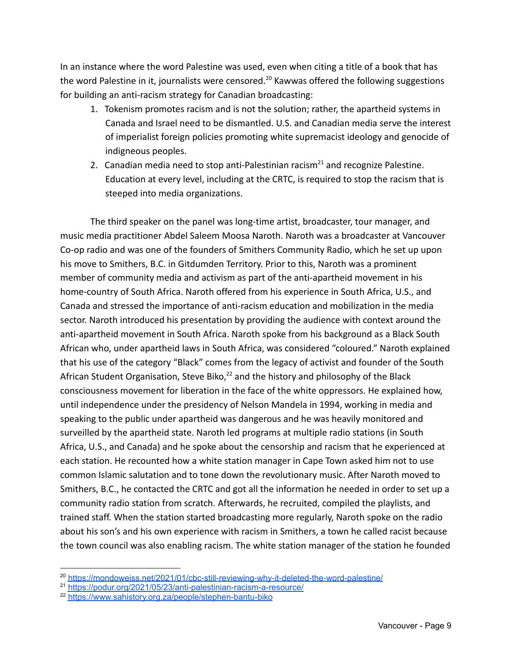In an instance where the word Palestine was used, even when citing a title of a book that has the word Palestine in it, journalists were censored.<sup>20</sup> Kawwas offered the following suggestions for building an anti-racism strategy for Canadian broadcasting:

- 1. Tokenism promotes racism and is not the solution; rather, the apartheid systems in Canada and Israel need to be dismantled. U.S. and Canadian media serve the interest of imperialist foreign policies promoting white supremacist ideology and genocide of indigneous peoples.
- 2. Canadian media need to stop anti-Palestinian racism<sup>21</sup> and recognize Palestine. Education at every level, including at the CRTC, is required to stop the racism that is steeped into media organizations.

The third speaker on the panel was long-time artist, broadcaster, tour manager, and music media practitioner Abdel Saleem Moosa Naroth. Naroth was a broadcaster at Vancouver Co-op radio and was one of the founders of Smithers Community Radio, which he set up upon his move to Smithers, B.C. in Gitdumden Territory. Prior to this, Naroth was a prominent member of community media and activism as part of the anti-apartheid movement in his home-country of South Africa. Naroth offered from his experience in South Africa, U.S., and Canada and stressed the importance of anti-racism education and mobilization in the media sector. Naroth introduced his presentation by providing the audience with context around the anti-apartheid movement in South Africa. Naroth spoke from his background as a Black South African who, under apartheid laws in South Africa, was considered "coloured." Naroth explained that his use of the category "Black" comes from the legacy of activist and founder of the South African Student Organisation, Steve Biko,<sup>22</sup> and the history and philosophy of the Black consciousness movement for liberation in the face of the white oppressors. He explained how, until independence under the presidency of Nelson Mandela in 1994, working in media and speaking to the public under apartheid was dangerous and he was heavily monitored and surveilled by the apartheid state. Naroth led programs at multiple radio stations (in South Africa, U.S., and Canada) and he spoke about the censorship and racism that he experienced at each station. He recounted how a white station manager in Cape Town asked him not to use common Islamic salutation and to tone down the revolutionary music. After Naroth moved to Smithers, B.C., he contacted the CRTC and got all the information he needed in order to set up a community radio station from scratch. Afterwards, he recruited, compiled the playlists, and trained staff. When the station started broadcasting more regularly, Naroth spoke on the radio about his son's and his own experience with racism in Smithers, a town he called racist because the town council was also enabling racism. The white station manager of the station he founded

<sup>&</sup>lt;sup>20</sup> <https://mondoweiss.net/2021/01/cbc-still-reviewing-why-it-deleted-the-word-palestine/>

<sup>21</sup> <https://podur.org/2021/05/23/anti-palestinian-racism-a-resource/>

<sup>22</sup> <https://www.sahistory.org.za/people/stephen-bantu-biko>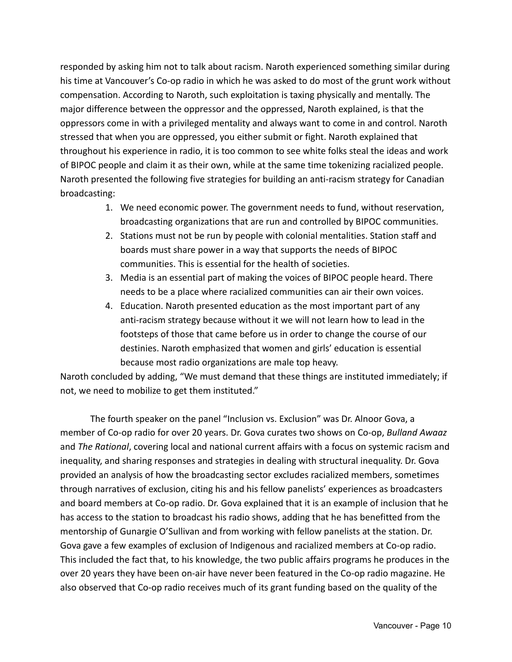responded by asking him not to talk about racism. Naroth experienced something similar during his time at Vancouver's Co-op radio in which he was asked to do most of the grunt work without compensation. According to Naroth, such exploitation is taxing physically and mentally. The major difference between the oppressor and the oppressed, Naroth explained, is that the oppressors come in with a privileged mentality and always want to come in and control. Naroth stressed that when you are oppressed, you either submit or fight. Naroth explained that throughout his experience in radio, it is too common to see white folks steal the ideas and work of BIPOC people and claim it as their own, while at the same time tokenizing racialized people. Naroth presented the following five strategies for building an anti-racism strategy for Canadian broadcasting:

- 1. We need economic power. The government needs to fund, without reservation, broadcasting organizations that are run and controlled by BIPOC communities.
- 2. Stations must not be run by people with colonial mentalities. Station staff and boards must share power in a way that supports the needs of BIPOC communities. This is essential for the health of societies.
- 3. Media is an essential part of making the voices of BIPOC people heard. There needs to be a place where racialized communities can air their own voices.
- 4. Education. Naroth presented education as the most important part of any anti-racism strategy because without it we will not learn how to lead in the footsteps of those that came before us in order to change the course of our destinies. Naroth emphasized that women and girls' education is essential because most radio organizations are male top heavy.

Naroth concluded by adding, "We must demand that these things are instituted immediately; if not, we need to mobilize to get them instituted."

The fourth speaker on the panel "Inclusion vs. Exclusion" was Dr. Alnoor Gova, a member of Co-op radio for over 20 years. Dr. Gova curates two shows on Co-op, *Bulland Awaaz* and *The Rational*, covering local and national current affairs with a focus on systemic racism and inequality, and sharing responses and strategies in dealing with structural inequality. Dr. Gova provided an analysis of how the broadcasting sector excludes racialized members, sometimes through narratives of exclusion, citing his and his fellow panelists' experiences as broadcasters and board members at Co-op radio. Dr. Gova explained that it is an example of inclusion that he has access to the station to broadcast his radio shows, adding that he has benefitted from the mentorship of Gunargie O'Sullivan and from working with fellow panelists at the station. Dr. Gova gave a few examples of exclusion of Indigenous and racialized members at Co-op radio. This included the fact that, to his knowledge, the two public affairs programs he produces in the over 20 years they have been on-air have never been featured in the Co-op radio magazine. He also observed that Co-op radio receives much of its grant funding based on the quality of the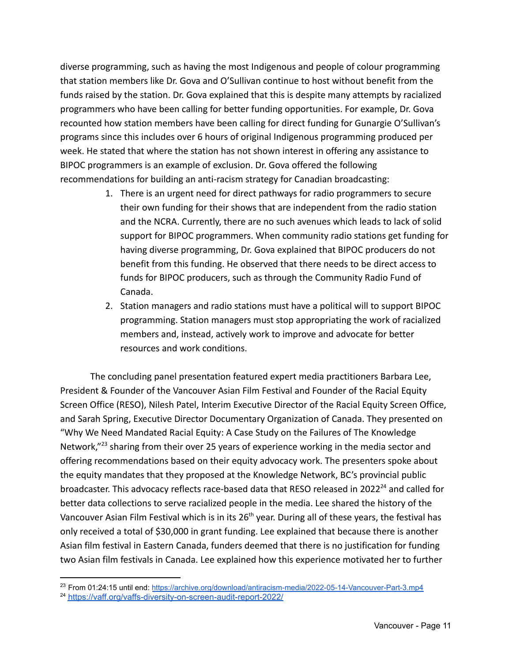diverse programming, such as having the most Indigenous and people of colour programming that station members like Dr. Gova and O'Sullivan continue to host without benefit from the funds raised by the station. Dr. Gova explained that this is despite many attempts by racialized programmers who have been calling for better funding opportunities. For example, Dr. Gova recounted how station members have been calling for direct funding for Gunargie O'Sullivan's programs since this includes over 6 hours of original Indigenous programming produced per week. He stated that where the station has not shown interest in offering any assistance to BIPOC programmers is an example of exclusion. Dr. Gova offered the following recommendations for building an anti-racism strategy for Canadian broadcasting:

- 1. There is an urgent need for direct pathways for radio programmers to secure their own funding for their shows that are independent from the radio station and the NCRA. Currently, there are no such avenues which leads to lack of solid support for BIPOC programmers. When community radio stations get funding for having diverse programming, Dr. Gova explained that BIPOC producers do not benefit from this funding. He observed that there needs to be direct access to funds for BIPOC producers, such as through the Community Radio Fund of Canada.
- 2. Station managers and radio stations must have a political will to support BIPOC programming. Station managers must stop appropriating the work of racialized members and, instead, actively work to improve and advocate for better resources and work conditions.

The concluding panel presentation featured expert media practitioners Barbara Lee, President & Founder of the Vancouver Asian Film Festival and Founder of the Racial Equity Screen Office (RESO), Nilesh Patel, Interim Executive Director of the Racial Equity Screen Office, and Sarah Spring, Executive Director Documentary Organization of Canada. They presented on "Why We Need Mandated Racial Equity: A Case Study on the Failures of The Knowledge Network,"<sup>23</sup> sharing from their over 25 years of experience working in the media sector and offering recommendations based on their equity advocacy work. The presenters spoke about the equity mandates that they proposed at the Knowledge Network, BC's provincial public broadcaster. This advocacy reflects race-based data that RESO released in 2022<sup>24</sup> and called for better data collections to serve racialized people in the media. Lee shared the history of the Vancouver Asian Film Festival which is in its 26<sup>th</sup> year. During all of these years, the festival has only received a total of \$30,000 in grant funding. Lee explained that because there is another Asian film festival in Eastern Canada, funders deemed that there is no justification for funding two Asian film festivals in Canada. Lee explained how this experience motivated her to further

<sup>&</sup>lt;sup>23</sup> From 01:24:15 until end: <https://archive.org/download/antiracism-media/2022-05-14-Vancouver-Part-3.mp4>

<sup>24</sup> <https://vaff.org/vaffs-diversity-on-screen-audit-report-2022/>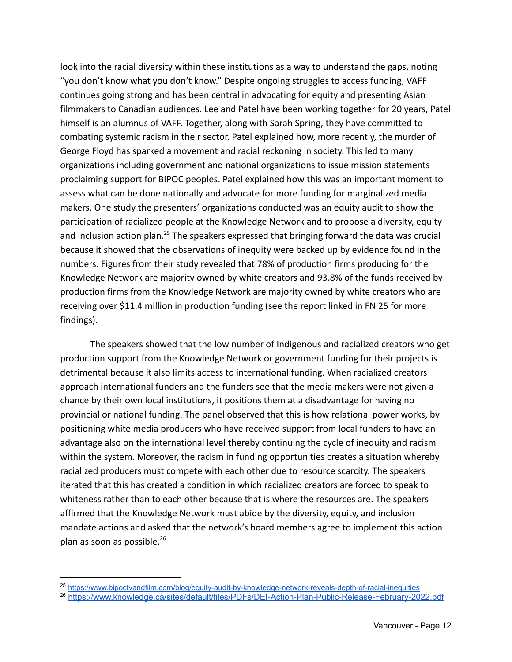look into the racial diversity within these institutions as a way to understand the gaps, noting "you don't know what you don't know." Despite ongoing struggles to access funding, VAFF continues going strong and has been central in advocating for equity and presenting Asian filmmakers to Canadian audiences. Lee and Patel have been working together for 20 years, Patel himself is an alumnus of VAFF. Together, along with Sarah Spring, they have committed to combating systemic racism in their sector. Patel explained how, more recently, the murder of George Floyd has sparked a movement and racial reckoning in society. This led to many organizations including government and national organizations to issue mission statements proclaiming support for BIPOC peoples. Patel explained how this was an important moment to assess what can be done nationally and advocate for more funding for marginalized media makers. One study the presenters' organizations conducted was an equity audit to show the participation of racialized people at the Knowledge Network and to propose a diversity, equity and inclusion action plan.<sup>25</sup> The speakers expressed that bringing forward the data was crucial because it showed that the observations of inequity were backed up by evidence found in the numbers. Figures from their study revealed that 78% of production firms producing for the Knowledge Network are majority owned by white creators and 93.8% of the funds received by production firms from the Knowledge Network are majority owned by white creators who are receiving over \$11.4 million in production funding (see the report linked in FN 25 for more findings).

The speakers showed that the low number of Indigenous and racialized creators who get production support from the Knowledge Network or government funding for their projects is detrimental because it also limits access to international funding. When racialized creators approach international funders and the funders see that the media makers were not given a chance by their own local institutions, it positions them at a disadvantage for having no provincial or national funding. The panel observed that this is how relational power works, by positioning white media producers who have received support from local funders to have an advantage also on the international level thereby continuing the cycle of inequity and racism within the system. Moreover, the racism in funding opportunities creates a situation whereby racialized producers must compete with each other due to resource scarcity. The speakers iterated that this has created a condition in which racialized creators are forced to speak to whiteness rather than to each other because that is where the resources are. The speakers affirmed that the Knowledge Network must abide by the diversity, equity, and inclusion mandate actions and asked that the network's board members agree to implement this action plan as soon as possible.<sup>26</sup>

<sup>25</sup> <https://www.bipoctvandfilm.com/blog/equity-audit-by-knowledge-network-reveals-depth-of-racial-inequities>

<sup>26</sup> <https://www.knowledge.ca/sites/default/files/PDFs/DEI-Action-Plan-Public-Release-February-2022.pdf>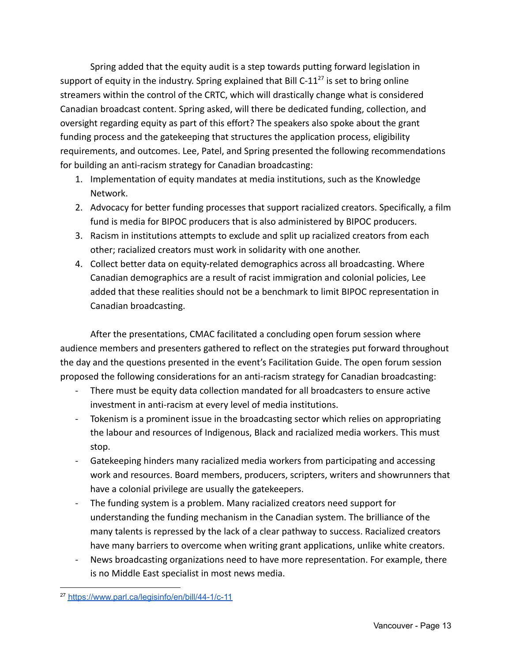Spring added that the equity audit is a step towards putting forward legislation in support of equity in the industry. Spring explained that Bill C-11<sup>27</sup> is set to bring online streamers within the control of the CRTC, which will drastically change what is considered Canadian broadcast content. Spring asked, will there be dedicated funding, collection, and oversight regarding equity as part of this effort? The speakers also spoke about the grant funding process and the gatekeeping that structures the application process, eligibility requirements, and outcomes. Lee, Patel, and Spring presented the following recommendations for building an anti-racism strategy for Canadian broadcasting:

- 1. Implementation of equity mandates at media institutions, such as the Knowledge Network.
- 2. Advocacy for better funding processes that support racialized creators. Specifically, a film fund is media for BIPOC producers that is also administered by BIPOC producers.
- 3. Racism in institutions attempts to exclude and split up racialized creators from each other; racialized creators must work in solidarity with one another.
- 4. Collect better data on equity-related demographics across all broadcasting. Where Canadian demographics are a result of racist immigration and colonial policies, Lee added that these realities should not be a benchmark to limit BIPOC representation in Canadian broadcasting.

After the presentations, CMAC facilitated a concluding open forum session where audience members and presenters gathered to reflect on the strategies put forward throughout the day and the questions presented in the event's Facilitation Guide. The open forum session proposed the following considerations for an anti-racism strategy for Canadian broadcasting:

- There must be equity data collection mandated for all broadcasters to ensure active investment in anti-racism at every level of media institutions.
- Tokenism is a prominent issue in the broadcasting sector which relies on appropriating the labour and resources of Indigenous, Black and racialized media workers. This must stop.
- Gatekeeping hinders many racialized media workers from participating and accessing work and resources. Board members, producers, scripters, writers and showrunners that have a colonial privilege are usually the gatekeepers.
- The funding system is a problem. Many racialized creators need support for understanding the funding mechanism in the Canadian system. The brilliance of the many talents is repressed by the lack of a clear pathway to success. Racialized creators have many barriers to overcome when writing grant applications, unlike white creators.
- News broadcasting organizations need to have more representation. For example, there is no Middle East specialist in most news media.

<sup>&</sup>lt;sup>27</sup> <https://www.parl.ca/legisinfo/en/bill/44-1/c-11>